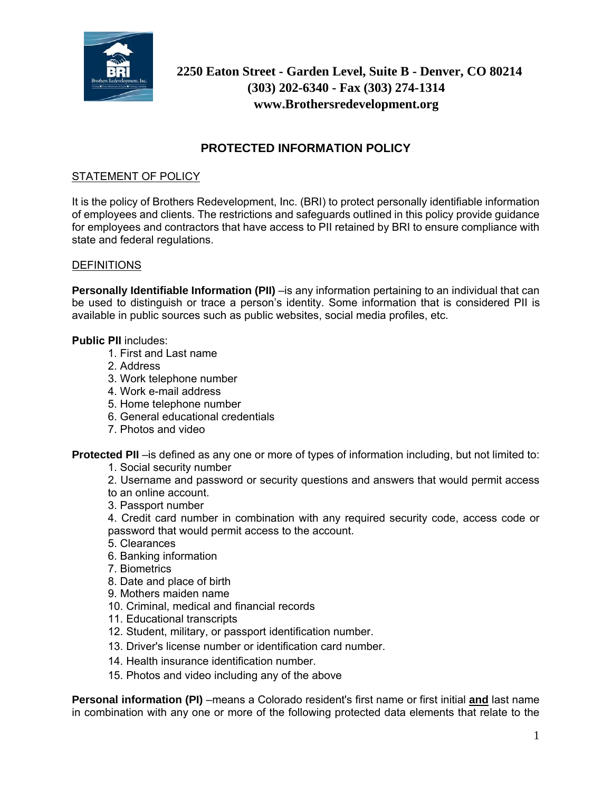

# **2250 Eaton Street - Garden Level, Suite B - Denver, CO 80214 (303) 202-6340 - Fax (303) 274-1314 www.Brothersredevelopment.org**

## **PROTECTED INFORMATION POLICY**

## STATEMENT OF POLICY

It is the policy of Brothers Redevelopment, Inc. (BRI) to protect personally identifiable information of employees and clients. The restrictions and safeguards outlined in this policy provide guidance for employees and contractors that have access to PII retained by BRI to ensure compliance with state and federal regulations.

### **DEFINITIONS**

**Personally Identifiable Information (PII)** –is any information pertaining to an individual that can be used to distinguish or trace a person's identity. Some information that is considered PII is available in public sources such as public websites, social media profiles, etc.

#### **Public PII** includes:

- 1. First and Last name
- 2. Address
- 3. Work telephone number
- 4. Work e-mail address
- 5. Home telephone number
- 6. General educational credentials
- 7. Photos and video

**Protected PII** –is defined as any one or more of types of information including, but not limited to:

- 1. Social security number
- 2. Username and password or security questions and answers that would permit access
- to an online account.
- 3. Passport number
- 4. Credit card number in combination with any required security code, access code or password that would permit access to the account.
- 5. Clearances
- 6. Banking information
- 7. Biometrics
- 8. Date and place of birth
- 9. Mothers maiden name
- 10. Criminal, medical and financial records
- 11. Educational transcripts
- 12. Student, military, or passport identification number.
- 13. Driver's license number or identification card number.
- 14. Health insurance identification number.
- 15. Photos and video including any of the above

**Personal information (PI)** –means a Colorado resident's first name or first initial **and** last name in combination with any one or more of the following protected data elements that relate to the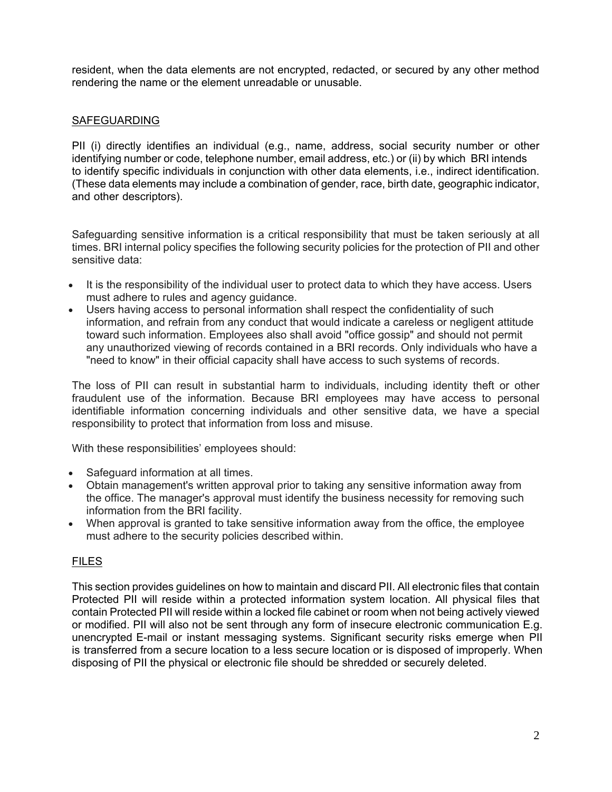resident, when the data elements are not encrypted, redacted, or secured by any other method rendering the name or the element unreadable or unusable.

## SAFEGUARDING

PII (i) directly identifies an individual (e.g., name, address, social security number or other identifying number or code, telephone number, email address, etc.) or (ii) by which BRI intends to identify specific individuals in conjunction with other data elements, i.e., indirect identification. (These data elements may include a combination of gender, race, birth date, geographic indicator, and other descriptors).

Safeguarding sensitive information is a critical responsibility that must be taken seriously at all times. BRI internal policy specifies the following security policies for the protection of PII and other sensitive data:

- It is the responsibility of the individual user to protect data to which they have access. Users must adhere to rules and agency guidance.
- Users having access to personal information shall respect the confidentiality of such information, and refrain from any conduct that would indicate a careless or negligent attitude toward such information. Employees also shall avoid "office gossip" and should not permit any unauthorized viewing of records contained in a BRI records. Only individuals who have a "need to know" in their official capacity shall have access to such systems of records.

The loss of PII can result in substantial harm to individuals, including identity theft or other fraudulent use of the information. Because BRI employees may have access to personal identifiable information concerning individuals and other sensitive data, we have a special responsibility to protect that information from loss and misuse.

With these responsibilities' employees should:

- Safeguard information at all times.
- Obtain management's written approval prior to taking any sensitive information away from the office. The manager's approval must identify the business necessity for removing such information from the BRI facility.
- When approval is granted to take sensitive information away from the office, the employee must adhere to the security policies described within.

### FILES

This section provides guidelines on how to maintain and discard PII. All electronic files that contain Protected PII will reside within a protected information system location. All physical files that contain Protected PII will reside within a locked file cabinet or room when not being actively viewed or modified. PII will also not be sent through any form of insecure electronic communication E.g. unencrypted E-mail or instant messaging systems. Significant security risks emerge when PII is transferred from a secure location to a less secure location or is disposed of improperly. When disposing of PII the physical or electronic file should be shredded or securely deleted.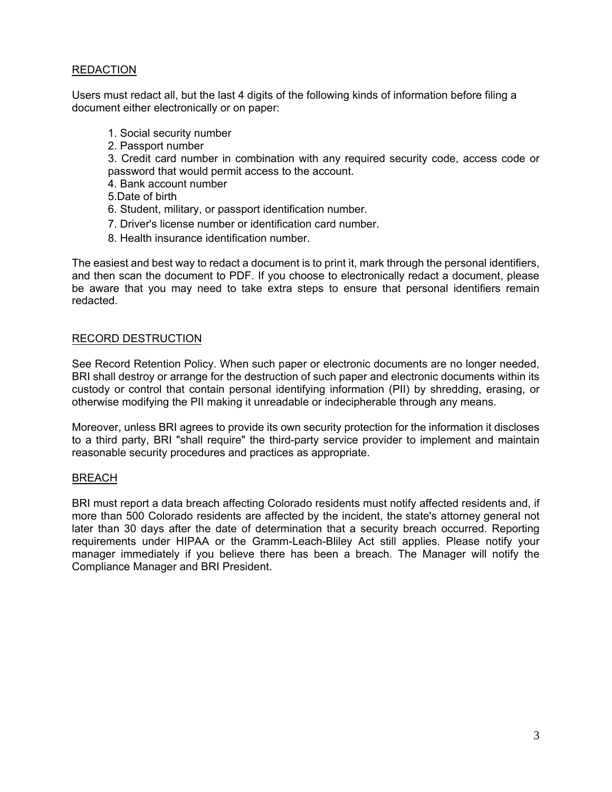## REDACTION

Users must redact all, but the last 4 digits of the following kinds of information before filing a document either electronically or on paper:

- 1. Social security number
- 2. Passport number

3. Credit card number in combination with any required security code, access code or password that would permit access to the account.

- 4. Bank account number
- 5.Date of birth
- 6. Student, military, or passport identification number.
- 7. Driver's license number or identification card number.
- 8. Health insurance identification number.

The easiest and best way to redact a document is to print it, mark through the personal identifiers, and then scan the document to PDF. If you choose to electronically redact a document, please be aware that you may need to take extra steps to ensure that personal identifiers remain redacted.

#### RECORD DESTRUCTION

See Record Retention Policy. When such paper or electronic documents are no longer needed, BRI shall destroy or arrange for the destruction of such paper and electronic documents within its custody or control that contain personal identifying information (PII) by shredding, erasing, or otherwise modifying the PII making it unreadable or indecipherable through any means.

Moreover, unless BRI agrees to provide its own security protection for the information it discloses to a third party, BRI "shall require" the third-party service provider to implement and maintain reasonable security procedures and practices as appropriate.

#### BREACH

BRI must report a data breach affecting Colorado residents must notify affected residents and, if more than 500 Colorado residents are affected by the incident, the state's attorney general not later than 30 days after the date of determination that a security breach occurred. Reporting requirements under HIPAA or the Gramm-Leach-Bliley Act still applies. Please notify your manager immediately if you believe there has been a breach. The Manager will notify the Compliance Manager and BRI President.